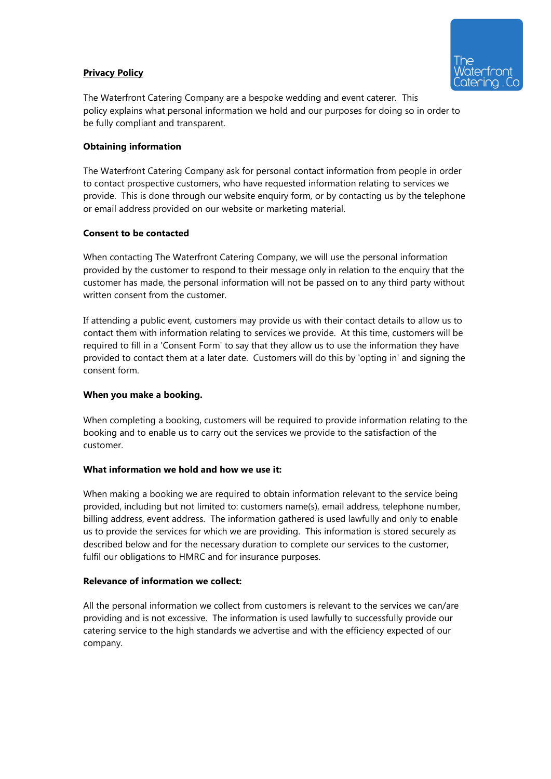# **Privacy Policy**



The Waterfront Catering Company are a bespoke wedding and event caterer. This policy explains what personal information we hold and our purposes for doing so in order to be fully compliant and transparent.

### Obtaining information

The Waterfront Catering Company ask for personal contact information from people in order to contact prospective customers, who have requested information relating to services we provide. This is done through our website enquiry form, or by contacting us by the telephone or email address provided on our website or marketing material.

#### Consent to be contacted

When contacting The Waterfront Catering Company, we will use the personal information provided by the customer to respond to their message only in relation to the enquiry that the customer has made, the personal information will not be passed on to any third party without written consent from the customer.

If attending a public event, customers may provide us with their contact details to allow us to contact them with information relating to services we provide. At this time, customers will be required to fill in a 'Consent Form' to say that they allow us to use the information they have provided to contact them at a later date. Customers will do this by 'opting in' and signing the consent form.

#### When you make a booking.

When completing a booking, customers will be required to provide information relating to the booking and to enable us to carry out the services we provide to the satisfaction of the customer.

### What information we hold and how we use it:

When making a booking we are required to obtain information relevant to the service being provided, including but not limited to: customers name(s), email address, telephone number, billing address, event address. The information gathered is used lawfully and only to enable us to provide the services for which we are providing. This information is stored securely as described below and for the necessary duration to complete our services to the customer, fulfil our obligations to HMRC and for insurance purposes.

### Relevance of information we collect:

All the personal information we collect from customers is relevant to the services we can/are providing and is not excessive. The information is used lawfully to successfully provide our catering service to the high standards we advertise and with the efficiency expected of our company.